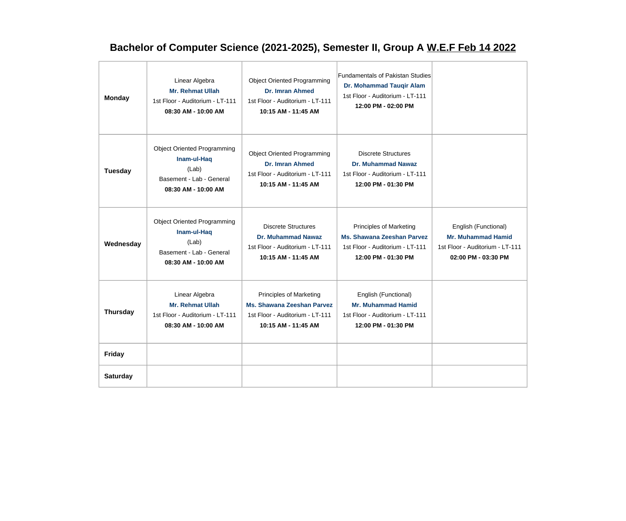## **Bachelor of Computer Science (2021-2025), Semester II, Group A W.E.F Feb 14 2022**

| <b>Monday</b>   | Linear Algebra<br><b>Mr. Rehmat Ullah</b><br>1st Floor - Auditorium - LT-111<br>08:30 AM - 10:00 AM           | <b>Object Oriented Programming</b><br>Dr. Imran Ahmed<br>1st Floor - Auditorium - LT-111<br>10:15 AM - 11:45 AM        | <b>Fundamentals of Pakistan Studies</b><br>Dr. Mohammad Tauqir Alam<br>1st Floor - Auditorium - LT-111<br>12:00 PM - 02:00 PM |                                                                                                             |
|-----------------|---------------------------------------------------------------------------------------------------------------|------------------------------------------------------------------------------------------------------------------------|-------------------------------------------------------------------------------------------------------------------------------|-------------------------------------------------------------------------------------------------------------|
| Tuesday         | <b>Object Oriented Programming</b><br>Inam-ul-Haq<br>(Lab)<br>Basement - Lab - General<br>08:30 AM - 10:00 AM | <b>Object Oriented Programming</b><br><b>Dr. Imran Ahmed</b><br>1st Floor - Auditorium - LT-111<br>10:15 AM - 11:45 AM | <b>Discrete Structures</b><br><b>Dr. Muhammad Nawaz</b><br>1st Floor - Auditorium - LT-111<br>12:00 PM - 01:30 PM             |                                                                                                             |
| Wednesday       | <b>Object Oriented Programming</b><br>Inam-ul-Haq<br>(Lab)<br>Basement - Lab - General<br>08:30 AM - 10:00 AM | <b>Discrete Structures</b><br><b>Dr. Muhammad Nawaz</b><br>1st Floor - Auditorium - LT-111<br>10:15 AM - 11:45 AM      | Principles of Marketing<br><b>Ms. Shawana Zeeshan Parvez</b><br>1st Floor - Auditorium - LT-111<br>12:00 PM - 01:30 PM        | English (Functional)<br><b>Mr. Muhammad Hamid</b><br>1st Floor - Auditorium - LT-111<br>02:00 PM - 03:30 PM |
| <b>Thursday</b> | Linear Algebra<br><b>Mr. Rehmat Ullah</b><br>1st Floor - Auditorium - LT-111<br>08:30 AM - 10:00 AM           | Principles of Marketing<br>Ms. Shawana Zeeshan Parvez<br>1st Floor - Auditorium - LT-111<br>10:15 AM - 11:45 AM        | English (Functional)<br><b>Mr. Muhammad Hamid</b><br>1st Floor - Auditorium - LT-111<br>12:00 PM - 01:30 PM                   |                                                                                                             |
| Friday          |                                                                                                               |                                                                                                                        |                                                                                                                               |                                                                                                             |
| <b>Saturday</b> |                                                                                                               |                                                                                                                        |                                                                                                                               |                                                                                                             |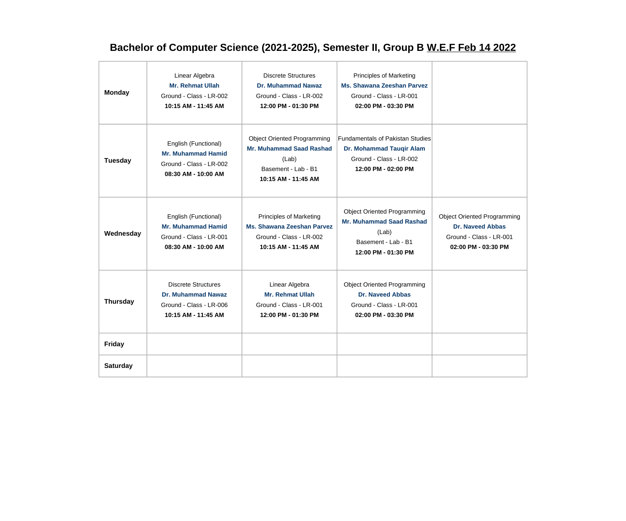## **Bachelor of Computer Science (2021-2025), Semester II, Group B W.E.F Feb 14 2022**

| <b>Monday</b>   | Linear Algebra<br><b>Mr. Rehmat Ullah</b><br>Ground - Class - LR-002<br>10:15 AM - 11:45 AM         | <b>Discrete Structures</b><br><b>Dr. Muhammad Nawaz</b><br>Ground - Class - LR-002<br>12:00 PM - 01:30 PM                    | Principles of Marketing<br><b>Ms. Shawana Zeeshan Parvez</b><br>Ground - Class - LR-001<br>02:00 PM - 03:30 PM               |                                                                                                                 |
|-----------------|-----------------------------------------------------------------------------------------------------|------------------------------------------------------------------------------------------------------------------------------|------------------------------------------------------------------------------------------------------------------------------|-----------------------------------------------------------------------------------------------------------------|
| <b>Tuesday</b>  | English (Functional)<br><b>Mr. Muhammad Hamid</b><br>Ground - Class - LR-002<br>08:30 AM - 10:00 AM | <b>Object Oriented Programming</b><br><b>Mr. Muhammad Saad Rashad</b><br>(Lab)<br>Basement - Lab - B1<br>10:15 AM - 11:45 AM | <b>Fundamentals of Pakistan Studies</b><br>Dr. Mohammad Tauqir Alam<br>Ground - Class - LR-002<br>12:00 PM - 02:00 PM        |                                                                                                                 |
| Wednesday       | English (Functional)<br><b>Mr. Muhammad Hamid</b><br>Ground - Class - LR-001<br>08:30 AM - 10:00 AM | Principles of Marketing<br>Ms. Shawana Zeeshan Parvez<br>Ground - Class - LR-002<br>10:15 AM - 11:45 AM                      | <b>Object Oriented Programming</b><br><b>Mr. Muhammad Saad Rashad</b><br>(Lab)<br>Basement - Lab - B1<br>12:00 PM - 01:30 PM | <b>Object Oriented Programming</b><br><b>Dr. Naveed Abbas</b><br>Ground - Class - LR-001<br>02:00 PM - 03:30 PM |
| <b>Thursday</b> | <b>Discrete Structures</b><br>Dr. Muhammad Nawaz<br>Ground - Class - LR-006<br>10:15 AM - 11:45 AM  | Linear Algebra<br><b>Mr. Rehmat Ullah</b><br>Ground - Class - LR-001<br>12:00 PM - 01:30 PM                                  | <b>Object Oriented Programming</b><br><b>Dr. Naveed Abbas</b><br>Ground - Class - LR-001<br>02:00 PM - 03:30 PM              |                                                                                                                 |
| Friday          |                                                                                                     |                                                                                                                              |                                                                                                                              |                                                                                                                 |
| <b>Saturday</b> |                                                                                                     |                                                                                                                              |                                                                                                                              |                                                                                                                 |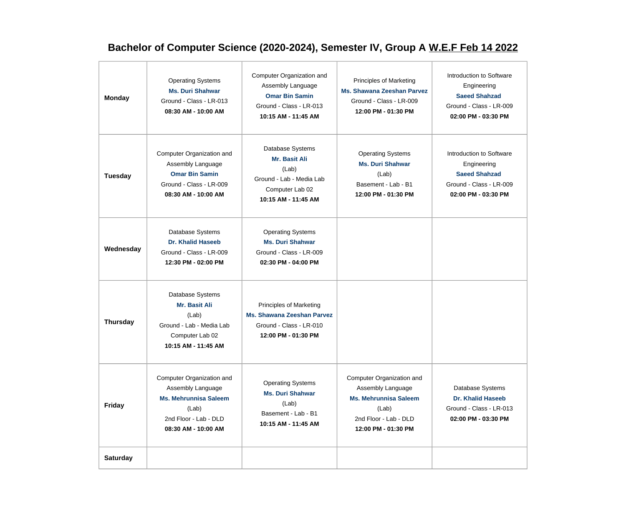## **Bachelor of Computer Science (2020-2024), Semester IV, Group A W.E.F Feb 14 2022**

| <b>Monday</b>   | <b>Operating Systems</b><br><b>Ms. Duri Shahwar</b><br>Ground - Class - LR-013<br>08:30 AM - 10:00 AM                                   | Computer Organization and<br>Assembly Language<br><b>Omar Bin Samin</b><br>Ground - Class - LR-013<br>10:15 AM - 11:45 AM | <b>Principles of Marketing</b><br><b>Ms. Shawana Zeeshan Parvez</b><br>Ground - Class - LR-009<br>12:00 PM - 01:30 PM                   | Introduction to Software<br>Engineering<br><b>Saeed Shahzad</b><br>Ground - Class - LR-009<br>02:00 PM - 03:30 PM |
|-----------------|-----------------------------------------------------------------------------------------------------------------------------------------|---------------------------------------------------------------------------------------------------------------------------|-----------------------------------------------------------------------------------------------------------------------------------------|-------------------------------------------------------------------------------------------------------------------|
| Tuesday         | Computer Organization and<br>Assembly Language<br><b>Omar Bin Samin</b><br>Ground - Class - LR-009<br>08:30 AM - 10:00 AM               | Database Systems<br>Mr. Basit Ali<br>(Lab)<br>Ground - Lab - Media Lab<br>Computer Lab 02<br>10:15 AM - 11:45 AM          | <b>Operating Systems</b><br><b>Ms. Duri Shahwar</b><br>(Lab)<br>Basement - Lab - B1<br>12:00 PM - 01:30 PM                              | Introduction to Software<br>Engineering<br><b>Saeed Shahzad</b><br>Ground - Class - LR-009<br>02:00 PM - 03:30 PM |
| Wednesday       | Database Systems<br><b>Dr. Khalid Haseeb</b><br>Ground - Class - LR-009<br>12:30 PM - 02:00 PM                                          | <b>Operating Systems</b><br><b>Ms. Duri Shahwar</b><br>Ground - Class - LR-009<br>02:30 PM - 04:00 PM                     |                                                                                                                                         |                                                                                                                   |
| <b>Thursday</b> | Database Systems<br>Mr. Basit Ali<br>(Lab)<br>Ground - Lab - Media Lab<br>Computer Lab 02<br>10:15 AM - 11:45 AM                        | <b>Principles of Marketing</b><br><b>Ms. Shawana Zeeshan Parvez</b><br>Ground - Class - LR-010<br>12:00 PM - 01:30 PM     |                                                                                                                                         |                                                                                                                   |
| <b>Friday</b>   | Computer Organization and<br>Assembly Language<br><b>Ms. Mehrunnisa Saleem</b><br>(Lab)<br>2nd Floor - Lab - DLD<br>08:30 AM - 10:00 AM | <b>Operating Systems</b><br><b>Ms. Duri Shahwar</b><br>(Lab)<br>Basement - Lab - B1<br>10:15 AM - 11:45 AM                | Computer Organization and<br>Assembly Language<br><b>Ms. Mehrunnisa Saleem</b><br>(Lab)<br>2nd Floor - Lab - DLD<br>12:00 PM - 01:30 PM | Database Systems<br><b>Dr. Khalid Haseeb</b><br>Ground - Class - LR-013<br>02:00 PM - 03:30 PM                    |
| <b>Saturday</b> |                                                                                                                                         |                                                                                                                           |                                                                                                                                         |                                                                                                                   |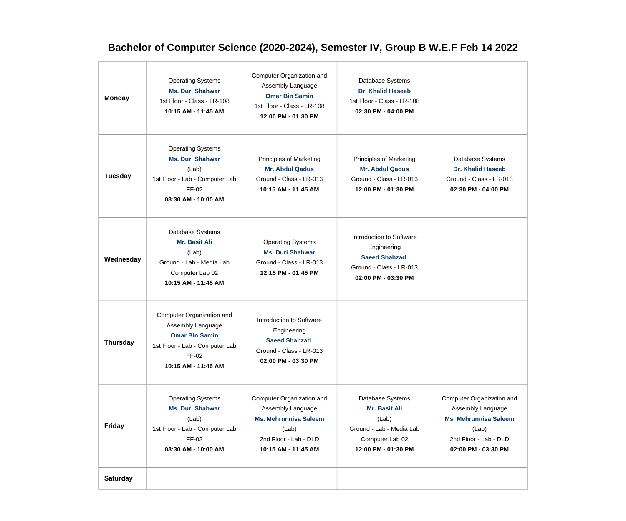## **Bachelor of Computer Science (2020-2024), Semester IV, Group B W.E.F Feb 14 2022**

| <b>Monday</b>   | <b>Operating Systems</b><br><b>Ms. Duri Shahwar</b><br>1st Floor - Class - LR-108<br>10:15 AM - 11:45 AM                                  | Computer Organization and<br>Assembly Language<br><b>Omar Bin Samin</b><br>1st Floor - Class - LR-108<br>12:00 PM - 01:30 PM            | Database Systems<br><b>Dr. Khalid Haseeb</b><br>1st Floor - Class - LR-108<br>02:30 PM - 04:00 PM                 |                                                                                                                                         |
|-----------------|-------------------------------------------------------------------------------------------------------------------------------------------|-----------------------------------------------------------------------------------------------------------------------------------------|-------------------------------------------------------------------------------------------------------------------|-----------------------------------------------------------------------------------------------------------------------------------------|
| <b>Tuesday</b>  | <b>Operating Systems</b><br><b>Ms. Duri Shahwar</b><br>(Lab)<br>1st Floor - Lab - Computer Lab<br>FF-02<br>08:30 AM - 10:00 AM            | Principles of Marketing<br><b>Mr. Abdul Qadus</b><br>Ground - Class - LR-013<br>10:15 AM - 11:45 AM                                     | Principles of Marketing<br><b>Mr. Abdul Qadus</b><br>Ground - Class - LR-013<br>12:00 PM - 01:30 PM               | Database Systems<br><b>Dr. Khalid Haseeb</b><br>Ground - Class - LR-013<br>02:30 PM - 04:00 PM                                          |
| Wednesday       | Database Systems<br><b>Mr. Basit Ali</b><br>(Lab)<br>Ground - Lab - Media Lab<br>Computer Lab 02<br>10:15 AM - 11:45 AM                   | <b>Operating Systems</b><br><b>Ms. Duri Shahwar</b><br>Ground - Class - LR-013<br>12:15 PM - 01:45 PM                                   | Introduction to Software<br>Engineering<br><b>Saeed Shahzad</b><br>Ground - Class - LR-013<br>02:00 PM - 03:30 PM |                                                                                                                                         |
| <b>Thursday</b> | Computer Organization and<br>Assembly Language<br><b>Omar Bin Samin</b><br>1st Floor - Lab - Computer Lab<br>FF-02<br>10:15 AM - 11:45 AM | Introduction to Software<br>Engineering<br><b>Saeed Shahzad</b><br>Ground - Class - LR-013<br>02:00 PM - 03:30 PM                       |                                                                                                                   |                                                                                                                                         |
| <b>Friday</b>   | <b>Operating Systems</b><br><b>Ms. Duri Shahwar</b><br>(Lab)<br>1st Floor - Lab - Computer Lab<br>FF-02<br>08:30 AM - 10:00 AM            | Computer Organization and<br>Assembly Language<br><b>Ms. Mehrunnisa Saleem</b><br>(Lab)<br>2nd Floor - Lab - DLD<br>10:15 AM - 11:45 AM | Database Systems<br>Mr. Basit Ali<br>(Lab)<br>Ground - Lab - Media Lab<br>Computer Lab 02<br>12:00 PM - 01:30 PM  | Computer Organization and<br>Assembly Language<br><b>Ms. Mehrunnisa Saleem</b><br>(Lab)<br>2nd Floor - Lab - DLD<br>02:00 PM - 03:30 PM |
| <b>Saturday</b> |                                                                                                                                           |                                                                                                                                         |                                                                                                                   |                                                                                                                                         |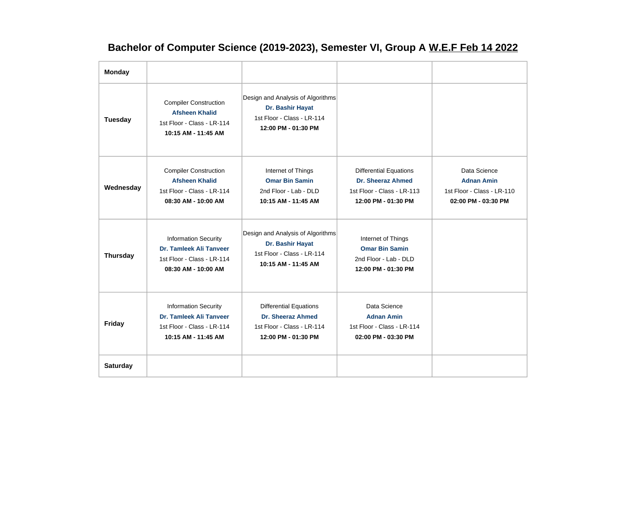## **Bachelor of Computer Science (2019-2023), Semester VI, Group A W.E.F Feb 14 2022**

| <b>Monday</b>   |                                                                                                                    |                                                                                                            |                                                                                                                |                                                                                        |
|-----------------|--------------------------------------------------------------------------------------------------------------------|------------------------------------------------------------------------------------------------------------|----------------------------------------------------------------------------------------------------------------|----------------------------------------------------------------------------------------|
| Tuesday         | <b>Compiler Construction</b><br><b>Afsheen Khalid</b><br>1st Floor - Class - LR-114<br>10:15 AM - 11:45 AM         | Design and Analysis of Algorithms<br>Dr. Bashir Hayat<br>1st Floor - Class - LR-114<br>12:00 PM - 01:30 PM |                                                                                                                |                                                                                        |
| Wednesday       | <b>Compiler Construction</b><br><b>Afsheen Khalid</b><br>1st Floor - Class - LR-114<br>08:30 AM - 10:00 AM         | Internet of Things<br><b>Omar Bin Samin</b><br>2nd Floor - Lab - DLD<br>10:15 AM - 11:45 AM                | <b>Differential Equations</b><br><b>Dr. Sheeraz Ahmed</b><br>1st Floor - Class - LR-113<br>12:00 PM - 01:30 PM | Data Science<br><b>Adnan Amin</b><br>1st Floor - Class - LR-110<br>02:00 PM - 03:30 PM |
| <b>Thursday</b> | <b>Information Security</b><br><b>Dr. Tamleek Ali Tanveer</b><br>1st Floor - Class - LR-114<br>08:30 AM - 10:00 AM | Design and Analysis of Algorithms<br>Dr. Bashir Hayat<br>1st Floor - Class - LR-114<br>10:15 AM - 11:45 AM | Internet of Things<br><b>Omar Bin Samin</b><br>2nd Floor - Lab - DLD<br>12:00 PM - 01:30 PM                    |                                                                                        |
| <b>Friday</b>   | <b>Information Security</b><br>Dr. Tamleek Ali Tanveer<br>1st Floor - Class - LR-114<br>10:15 AM - 11:45 AM        | <b>Differential Equations</b><br>Dr. Sheeraz Ahmed<br>1st Floor - Class - LR-114<br>12:00 PM - 01:30 PM    | Data Science<br><b>Adnan Amin</b><br>1st Floor - Class - LR-114<br>02:00 PM - 03:30 PM                         |                                                                                        |
| <b>Saturday</b> |                                                                                                                    |                                                                                                            |                                                                                                                |                                                                                        |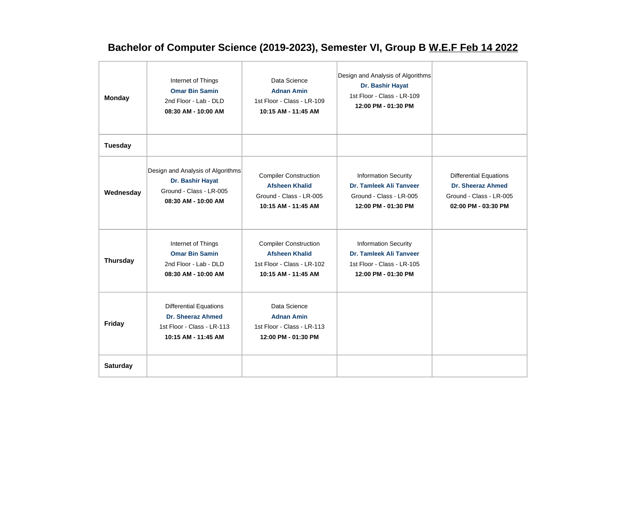## **Bachelor of Computer Science (2019-2023), Semester VI, Group B W.E.F Feb 14 2022**

| <b>Monday</b>   | Internet of Things<br><b>Omar Bin Samin</b><br>2nd Floor - Lab - DLD<br>08:30 AM - 10:00 AM             | Data Science<br><b>Adnan Amin</b><br>1st Floor - Class - LR-109<br>10:15 AM - 11:45 AM                     | Design and Analysis of Algorithms<br>Dr. Bashir Hayat<br>1st Floor - Class - LR-109<br>12:00 PM - 01:30 PM  |                                                                                                      |
|-----------------|---------------------------------------------------------------------------------------------------------|------------------------------------------------------------------------------------------------------------|-------------------------------------------------------------------------------------------------------------|------------------------------------------------------------------------------------------------------|
| Tuesday         |                                                                                                         |                                                                                                            |                                                                                                             |                                                                                                      |
| Wednesday       | Design and Analysis of Algorithms<br>Dr. Bashir Hayat<br>Ground - Class - LR-005<br>08:30 AM - 10:00 AM | <b>Compiler Construction</b><br><b>Afsheen Khalid</b><br>Ground - Class - LR-005<br>10:15 AM - 11:45 AM    | <b>Information Security</b><br>Dr. Tamleek Ali Tanveer<br>Ground - Class - LR-005<br>12:00 PM - 01:30 PM    | <b>Differential Equations</b><br>Dr. Sheeraz Ahmed<br>Ground - Class - LR-005<br>02:00 PM - 03:30 PM |
| <b>Thursday</b> | Internet of Things<br><b>Omar Bin Samin</b><br>2nd Floor - Lab - DLD<br>08:30 AM - 10:00 AM             | <b>Compiler Construction</b><br><b>Afsheen Khalid</b><br>1st Floor - Class - LR-102<br>10:15 AM - 11:45 AM | <b>Information Security</b><br>Dr. Tamleek Ali Tanveer<br>1st Floor - Class - LR-105<br>12:00 PM - 01:30 PM |                                                                                                      |
| Friday          | <b>Differential Equations</b><br>Dr. Sheeraz Ahmed<br>1st Floor - Class - LR-113<br>10:15 AM - 11:45 AM | Data Science<br><b>Adnan Amin</b><br>1st Floor - Class - LR-113<br>12:00 PM - 01:30 PM                     |                                                                                                             |                                                                                                      |
| <b>Saturday</b> |                                                                                                         |                                                                                                            |                                                                                                             |                                                                                                      |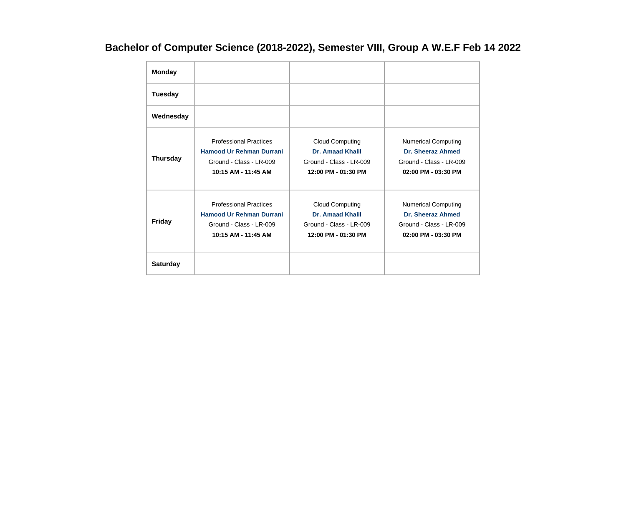## **Bachelor of Computer Science (2018-2022), Semester VIII, Group A W.E.F Feb 14 2022**

| <b>Monday</b>   |                                                                                                                    |                                                                                                     |                                                                                                   |
|-----------------|--------------------------------------------------------------------------------------------------------------------|-----------------------------------------------------------------------------------------------------|---------------------------------------------------------------------------------------------------|
| <b>Tuesday</b>  |                                                                                                                    |                                                                                                     |                                                                                                   |
| Wednesday       |                                                                                                                    |                                                                                                     |                                                                                                   |
| <b>Thursday</b> | <b>Professional Practices</b><br><b>Hamood Ur Rehman Durrani</b><br>Ground - Class - LR-009<br>10:15 AM - 11:45 AM | <b>Cloud Computing</b><br><b>Dr. Amaad Khalil</b><br>Ground - Class - LR-009<br>12:00 PM - 01:30 PM | <b>Numerical Computing</b><br>Dr. Sheeraz Ahmed<br>Ground - Class - LR-009<br>02:00 PM - 03:30 PM |
| <b>Friday</b>   | <b>Professional Practices</b><br><b>Hamood Ur Rehman Durrani</b><br>Ground - Class - LR-009<br>10:15 AM - 11:45 AM | <b>Cloud Computing</b><br><b>Dr. Amaad Khalil</b><br>Ground - Class - LR-009<br>12:00 PM - 01:30 PM | <b>Numerical Computing</b><br>Dr. Sheeraz Ahmed<br>Ground - Class - LR-009<br>02:00 PM - 03:30 PM |
| <b>Saturday</b> |                                                                                                                    |                                                                                                     |                                                                                                   |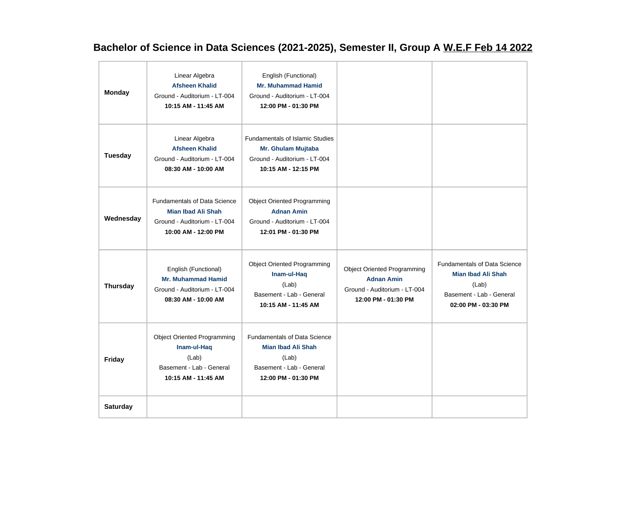## **Bachelor of Science in Data Sciences (2021-2025), Semester II, Group A W.E.F Feb 14 2022**

| <b>Monday</b>   | Linear Algebra<br><b>Afsheen Khalid</b><br>Ground - Auditorium - LT-004<br>10:15 AM - 11:45 AM                          | English (Functional)<br><b>Mr. Muhammad Hamid</b><br>Ground - Auditorium - LT-004<br>12:00 PM - 01:30 PM                     |                                                                                                                |                                                                                                                              |
|-----------------|-------------------------------------------------------------------------------------------------------------------------|------------------------------------------------------------------------------------------------------------------------------|----------------------------------------------------------------------------------------------------------------|------------------------------------------------------------------------------------------------------------------------------|
| Tuesday         | Linear Algebra<br><b>Afsheen Khalid</b><br>Ground - Auditorium - LT-004<br>08:30 AM - 10:00 AM                          | <b>Fundamentals of Islamic Studies</b><br>Mr. Ghulam Mujtaba<br>Ground - Auditorium - LT-004<br>10:15 AM - 12:15 PM          |                                                                                                                |                                                                                                                              |
| Wednesday       | <b>Fundamentals of Data Science</b><br><b>Mian Ibad Ali Shah</b><br>Ground - Auditorium - LT-004<br>10:00 AM - 12:00 PM | <b>Object Oriented Programming</b><br><b>Adnan Amin</b><br>Ground - Auditorium - LT-004<br>12:01 PM - 01:30 PM               |                                                                                                                |                                                                                                                              |
| <b>Thursday</b> | English (Functional)<br><b>Mr. Muhammad Hamid</b><br>Ground - Auditorium - LT-004<br>08:30 AM - 10:00 AM                | <b>Object Oriented Programming</b><br>Inam-ul-Haq<br>(Lab)<br>Basement - Lab - General<br>10:15 AM - 11:45 AM                | <b>Object Oriented Programming</b><br><b>Adnan Amin</b><br>Ground - Auditorium - LT-004<br>12:00 PM - 01:30 PM | <b>Fundamentals of Data Science</b><br><b>Mian Ibad Ali Shah</b><br>(Lab)<br>Basement - Lab - General<br>02:00 PM - 03:30 PM |
| <b>Friday</b>   | <b>Object Oriented Programming</b><br>Inam-ul-Haq<br>(Lab)<br>Basement - Lab - General<br>10:15 AM - 11:45 AM           | <b>Fundamentals of Data Science</b><br><b>Mian Ibad Ali Shah</b><br>(Lab)<br>Basement - Lab - General<br>12:00 PM - 01:30 PM |                                                                                                                |                                                                                                                              |
| <b>Saturday</b> |                                                                                                                         |                                                                                                                              |                                                                                                                |                                                                                                                              |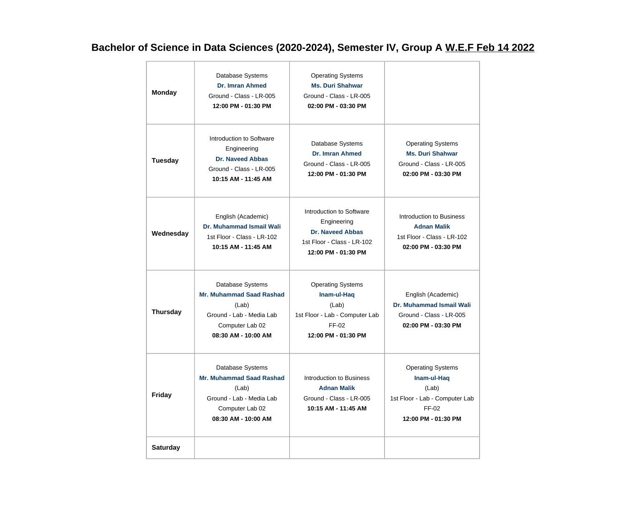## **Bachelor of Science in Data Sciences (2020-2024), Semester IV, Group A W.E.F Feb 14 2022**

| <b>Monday</b>   | Database Systems<br><b>Dr. Imran Ahmed</b><br>Ground - Class - LR-005<br>12:00 PM - 01:30 PM                                       | <b>Operating Systems</b><br><b>Ms. Duri Shahwar</b><br>Ground - Class - LR-005<br>02:00 PM - 03:30 PM                   |                                                                                                                    |
|-----------------|------------------------------------------------------------------------------------------------------------------------------------|-------------------------------------------------------------------------------------------------------------------------|--------------------------------------------------------------------------------------------------------------------|
| <b>Tuesday</b>  | Introduction to Software<br>Engineering<br><b>Dr. Naveed Abbas</b><br>Ground - Class - LR-005<br>10:15 AM - 11:45 AM               | Database Systems<br>Dr. Imran Ahmed<br>Ground - Class - LR-005<br>12:00 PM - 01:30 PM                                   | <b>Operating Systems</b><br><b>Ms. Duri Shahwar</b><br>Ground - Class - LR-005<br>02:00 PM - 03:30 PM              |
| Wednesday       | English (Academic)<br><b>Dr. Muhammad Ismail Wali</b><br>1st Floor - Class - LR-102<br>10:15 AM - 11:45 AM                         | Introduction to Software<br>Engineering<br><b>Dr. Naveed Abbas</b><br>1st Floor - Class - LR-102<br>12:00 PM - 01:30 PM | Introduction to Business<br><b>Adnan Malik</b><br>1st Floor - Class - LR-102<br>02:00 PM - 03:30 PM                |
| <b>Thursday</b> | Database Systems<br><b>Mr. Muhammad Saad Rashad</b><br>(Lab)<br>Ground - Lab - Media Lab<br>Computer Lab 02<br>08:30 AM - 10:00 AM | <b>Operating Systems</b><br>Inam-ul-Haq<br>(Lab)<br>1st Floor - Lab - Computer Lab<br>FF-02<br>12:00 PM - 01:30 PM      | English (Academic)<br>Dr. Muhammad Ismail Wali<br>Ground - Class - LR-005<br>02:00 PM - 03:30 PM                   |
| <b>Friday</b>   | Database Systems<br><b>Mr. Muhammad Saad Rashad</b><br>(Lab)<br>Ground - Lab - Media Lab<br>Computer Lab 02<br>08:30 AM - 10:00 AM | Introduction to Business<br><b>Adnan Malik</b><br>Ground - Class - LR-005<br>10:15 AM - 11:45 AM                        | <b>Operating Systems</b><br>Inam-ul-Haq<br>(Lab)<br>1st Floor - Lab - Computer Lab<br>FF-02<br>12:00 PM - 01:30 PM |
| <b>Saturday</b> |                                                                                                                                    |                                                                                                                         |                                                                                                                    |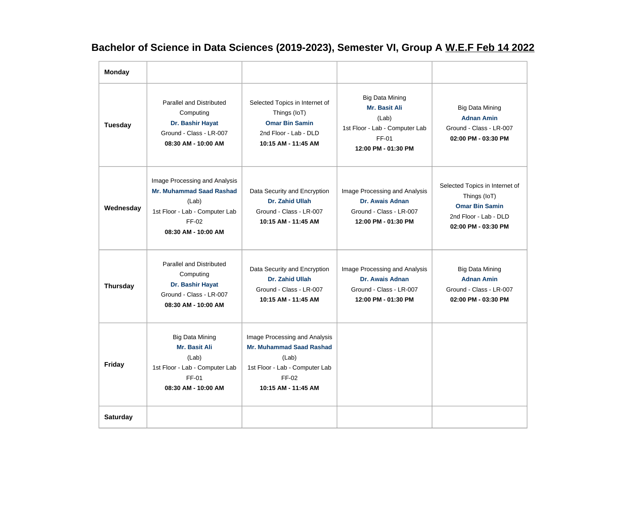## **Bachelor of Science in Data Sciences (2019-2023), Semester VI, Group A W.E.F Feb 14 2022**

| <b>Monday</b>   |                                                                                                                                             |                                                                                                                                             |                                                                                                                    |                                                                                                                         |
|-----------------|---------------------------------------------------------------------------------------------------------------------------------------------|---------------------------------------------------------------------------------------------------------------------------------------------|--------------------------------------------------------------------------------------------------------------------|-------------------------------------------------------------------------------------------------------------------------|
| Tuesday         | <b>Parallel and Distributed</b><br>Computing<br>Dr. Bashir Hayat<br>Ground - Class - LR-007<br>08:30 AM - 10:00 AM                          | Selected Topics in Internet of<br>Things (IoT)<br><b>Omar Bin Samin</b><br>2nd Floor - Lab - DLD<br>10:15 AM - 11:45 AM                     | <b>Big Data Mining</b><br>Mr. Basit Ali<br>(Lab)<br>1st Floor - Lab - Computer Lab<br>FF-01<br>12:00 PM - 01:30 PM | <b>Big Data Mining</b><br><b>Adnan Amin</b><br>Ground - Class - LR-007<br>02:00 PM - 03:30 PM                           |
| Wednesday       | Image Processing and Analysis<br><b>Mr. Muhammad Saad Rashad</b><br>(Lab)<br>1st Floor - Lab - Computer Lab<br>FF-02<br>08:30 AM - 10:00 AM | Data Security and Encryption<br><b>Dr. Zahid Ullah</b><br>Ground - Class - LR-007<br>10:15 AM - 11:45 AM                                    | Image Processing and Analysis<br><b>Dr. Awais Adnan</b><br>Ground - Class - LR-007<br>12:00 PM - 01:30 PM          | Selected Topics in Internet of<br>Things (IoT)<br><b>Omar Bin Samin</b><br>2nd Floor - Lab - DLD<br>02:00 PM - 03:30 PM |
| <b>Thursday</b> | <b>Parallel and Distributed</b><br>Computing<br>Dr. Bashir Hayat<br>Ground - Class - LR-007<br>08:30 AM - 10:00 AM                          | Data Security and Encryption<br>Dr. Zahid Ullah<br>Ground - Class - LR-007<br>10:15 AM - 11:45 AM                                           | Image Processing and Analysis<br>Dr. Awais Adnan<br>Ground - Class - LR-007<br>12:00 PM - 01:30 PM                 | <b>Big Data Mining</b><br><b>Adnan Amin</b><br>Ground - Class - LR-007<br>02:00 PM - 03:30 PM                           |
| Friday          | <b>Big Data Mining</b><br><b>Mr. Basit Ali</b><br>(Lab)<br>1st Floor - Lab - Computer Lab<br>FF-01<br>08:30 AM - 10:00 AM                   | Image Processing and Analysis<br><b>Mr. Muhammad Saad Rashad</b><br>(Lab)<br>1st Floor - Lab - Computer Lab<br>FF-02<br>10:15 AM - 11:45 AM |                                                                                                                    |                                                                                                                         |
| <b>Saturday</b> |                                                                                                                                             |                                                                                                                                             |                                                                                                                    |                                                                                                                         |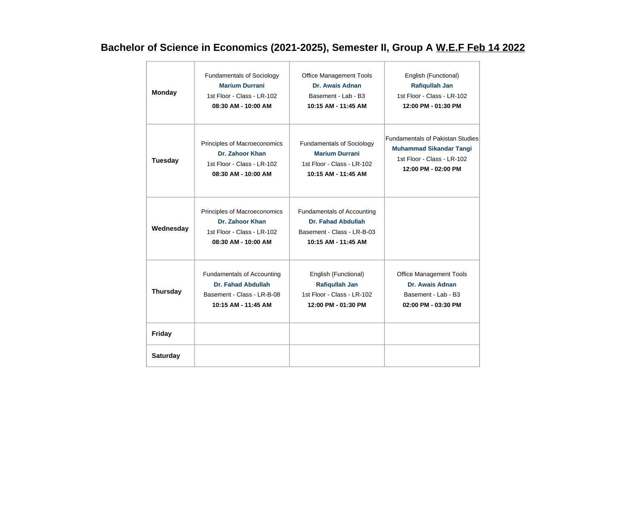## **Bachelor of Science in Economics (2021-2025), Semester II, Group A W.E.F Feb 14 2022**

| <b>Monday</b>   | <b>Fundamentals of Sociology</b>                                                                     | <b>Office Management Tools</b>                                                                               | English (Functional)                    |
|-----------------|------------------------------------------------------------------------------------------------------|--------------------------------------------------------------------------------------------------------------|-----------------------------------------|
|                 | <b>Marium Durrani</b>                                                                                | Dr. Awais Adnan                                                                                              | <b>Rafiqullah Jan</b>                   |
|                 | 1st Floor - Class - LR-102                                                                           | Basement - Lab - B3                                                                                          | 1st Floor - Class - LR-102              |
|                 | 08:30 AM - 10:00 AM                                                                                  | 10:15 AM - 11:45 AM                                                                                          | 12:00 PM - 01:30 PM                     |
| <b>Tuesday</b>  | Principles of Macroeconomics                                                                         | <b>Fundamentals of Sociology</b>                                                                             | <b>Fundamentals of Pakistan Studies</b> |
|                 | Dr. Zahoor Khan                                                                                      | <b>Marium Durrani</b>                                                                                        | <b>Muhammad Sikandar Tangi</b>          |
|                 | 1st Floor - Class - LR-102                                                                           | 1st Floor - Class - LR-102                                                                                   | 1st Floor - Class - LR-102              |
|                 | 08:30 AM - 10:00 AM                                                                                  | 10:15 AM - 11:45 AM                                                                                          | 12:00 PM - 02:00 PM                     |
| Wednesday       | Principles of Macroeconomics<br>Dr. Zahoor Khan<br>1st Floor - Class - LR-102<br>08:30 AM - 10:00 AM | Fundamentals of Accounting<br><b>Dr. Fahad Abdullah</b><br>Basement - Class - LR-B-03<br>10:15 AM - 11:45 AM |                                         |
| <b>Thursday</b> | <b>Fundamentals of Accounting</b>                                                                    | English (Functional)                                                                                         | <b>Office Management Tools</b>          |
|                 | <b>Dr. Fahad Abdullah</b>                                                                            | <b>Rafiqullah Jan</b>                                                                                        | Dr. Awais Adnan                         |
|                 | Basement - Class - LR-B-08                                                                           | 1st Floor - Class - LR-102                                                                                   | Basement - Lab - B3                     |
|                 | 10:15 AM - 11:45 AM                                                                                  | 12:00 PM - 01:30 PM                                                                                          | 02:00 PM - 03:30 PM                     |
| <b>Friday</b>   |                                                                                                      |                                                                                                              |                                         |
| <b>Saturday</b> |                                                                                                      |                                                                                                              |                                         |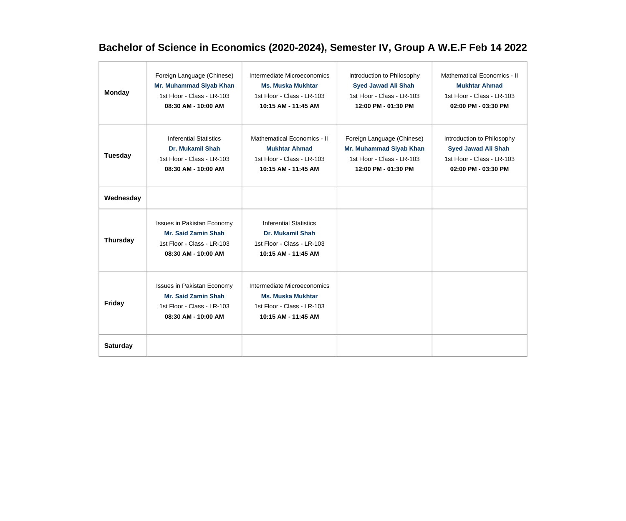## **Bachelor of Science in Economics (2020-2024), Semester IV, Group A W.E.F Feb 14 2022**

| <b>Monday</b>   | Foreign Language (Chinese)<br>Mr. Muhammad Siyab Khan<br>1st Floor - Class - LR-103<br>08:30 AM - 10:00 AM           | Intermediate Microeconomics<br><b>Ms. Muska Mukhtar</b><br>1st Floor - Class - LR-103<br>10:15 AM - 11:45 AM  | Introduction to Philosophy<br><b>Syed Jawad Ali Shah</b><br>1st Floor - Class - LR-103<br>12:00 PM - 01:30 PM | Mathematical Economics - II<br><b>Mukhtar Ahmad</b><br>1st Floor - Class - LR-103<br>02:00 PM - 03:30 PM      |
|-----------------|----------------------------------------------------------------------------------------------------------------------|---------------------------------------------------------------------------------------------------------------|---------------------------------------------------------------------------------------------------------------|---------------------------------------------------------------------------------------------------------------|
| <b>Tuesday</b>  | <b>Inferential Statistics</b><br><b>Dr. Mukamil Shah</b><br>1st Floor - Class - LR-103<br>08:30 AM - 10:00 AM        | Mathematical Economics - II<br><b>Mukhtar Ahmad</b><br>1st Floor - Class - LR-103<br>10:15 AM - 11:45 AM      | Foreign Language (Chinese)<br>Mr. Muhammad Siyab Khan<br>1st Floor - Class - LR-103<br>12:00 PM - 01:30 PM    | Introduction to Philosophy<br><b>Syed Jawad Ali Shah</b><br>1st Floor - Class - LR-103<br>02:00 PM - 03:30 PM |
| Wednesday       |                                                                                                                      |                                                                                                               |                                                                                                               |                                                                                                               |
| <b>Thursday</b> | <b>Issues in Pakistan Economy</b><br><b>Mr. Said Zamin Shah</b><br>1st Floor - Class - LR-103<br>08:30 AM - 10:00 AM | <b>Inferential Statistics</b><br><b>Dr. Mukamil Shah</b><br>1st Floor - Class - LR-103<br>10:15 AM - 11:45 AM |                                                                                                               |                                                                                                               |
| <b>Friday</b>   | <b>Issues in Pakistan Economy</b><br><b>Mr. Said Zamin Shah</b><br>1st Floor - Class - LR-103<br>08:30 AM - 10:00 AM | Intermediate Microeconomics<br><b>Ms. Muska Mukhtar</b><br>1st Floor - Class - LR-103<br>10:15 AM - 11:45 AM  |                                                                                                               |                                                                                                               |
| <b>Saturday</b> |                                                                                                                      |                                                                                                               |                                                                                                               |                                                                                                               |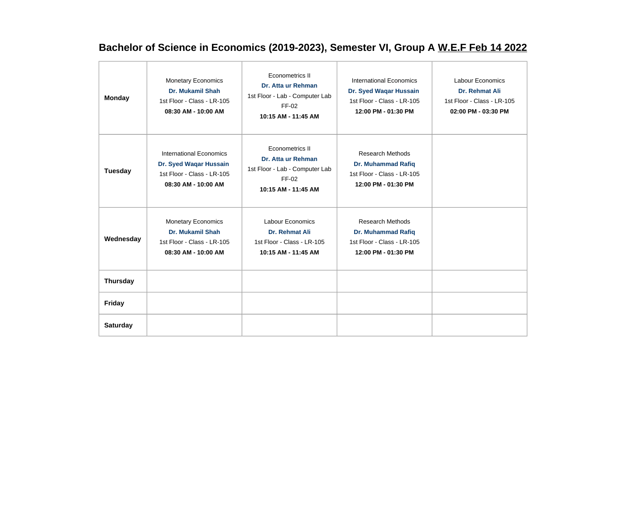## **Bachelor of Science in Economics (2019-2023), Semester VI, Group A W.E.F Feb 14 2022**

| <b>Monday</b>   | <b>Monetary Economics</b><br><b>Dr. Mukamil Shah</b><br>1st Floor - Class - LR-105<br>08:30 AM - 10:00 AM     | Econometrics II<br>Dr. Atta ur Rehman<br>1st Floor - Lab - Computer Lab<br>FF-02<br>10:15 AM - 11:45 AM | <b>International Economics</b><br>Dr. Syed Waqar Hussain<br>1st Floor - Class - LR-105<br>12:00 PM - 01:30 PM | <b>Labour Economics</b><br>Dr. Rehmat Ali<br>1st Floor - Class - LR-105<br>02:00 PM - 03:30 PM |
|-----------------|---------------------------------------------------------------------------------------------------------------|---------------------------------------------------------------------------------------------------------|---------------------------------------------------------------------------------------------------------------|------------------------------------------------------------------------------------------------|
| <b>Tuesday</b>  | <b>International Economics</b><br>Dr. Syed Waqar Hussain<br>1st Floor - Class - LR-105<br>08:30 AM - 10:00 AM | Econometrics II<br>Dr. Atta ur Rehman<br>1st Floor - Lab - Computer Lab<br>FF-02<br>10:15 AM - 11:45 AM | <b>Research Methods</b><br><b>Dr. Muhammad Rafiq</b><br>1st Floor - Class - LR-105<br>12:00 PM - 01:30 PM     |                                                                                                |
| Wednesday       | <b>Monetary Economics</b><br><b>Dr. Mukamil Shah</b><br>1st Floor - Class - LR-105<br>08:30 AM - 10:00 AM     | Labour Economics<br>Dr. Rehmat Ali<br>1st Floor - Class - LR-105<br>10:15 AM - 11:45 AM                 | <b>Research Methods</b><br><b>Dr. Muhammad Rafiq</b><br>1st Floor - Class - LR-105<br>12:00 PM - 01:30 PM     |                                                                                                |
| <b>Thursday</b> |                                                                                                               |                                                                                                         |                                                                                                               |                                                                                                |
| <b>Friday</b>   |                                                                                                               |                                                                                                         |                                                                                                               |                                                                                                |
| <b>Saturday</b> |                                                                                                               |                                                                                                         |                                                                                                               |                                                                                                |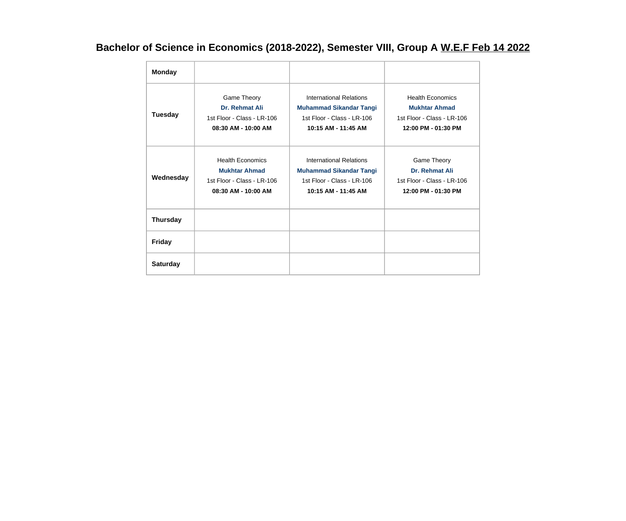## **Bachelor of Science in Economics (2018-2022), Semester VIII, Group A W.E.F Feb 14 2022**

| <b>Monday</b>   |                                                                                                      |                                                                                                                       |                                                                                                      |
|-----------------|------------------------------------------------------------------------------------------------------|-----------------------------------------------------------------------------------------------------------------------|------------------------------------------------------------------------------------------------------|
| <b>Tuesday</b>  | Game Theory<br>Dr. Rehmat Ali<br>1st Floor - Class - LR-106<br>08:30 AM - 10:00 AM                   | <b>International Relations</b><br><b>Muhammad Sikandar Tangi</b><br>1st Floor - Class - LR-106<br>10:15 AM - 11:45 AM | <b>Health Economics</b><br><b>Mukhtar Ahmad</b><br>1st Floor - Class - LR-106<br>12:00 PM - 01:30 PM |
| Wednesday       | <b>Health Economics</b><br><b>Mukhtar Ahmad</b><br>1st Floor - Class - LR-106<br>08:30 AM - 10:00 AM | International Relations<br><b>Muhammad Sikandar Tangi</b><br>1st Floor - Class - LR-106<br>10:15 AM - 11:45 AM        | Game Theory<br>Dr. Rehmat Ali<br>1st Floor - Class - LR-106<br>12:00 PM - 01:30 PM                   |
| <b>Thursday</b> |                                                                                                      |                                                                                                                       |                                                                                                      |
| <b>Friday</b>   |                                                                                                      |                                                                                                                       |                                                                                                      |
| <b>Saturday</b> |                                                                                                      |                                                                                                                       |                                                                                                      |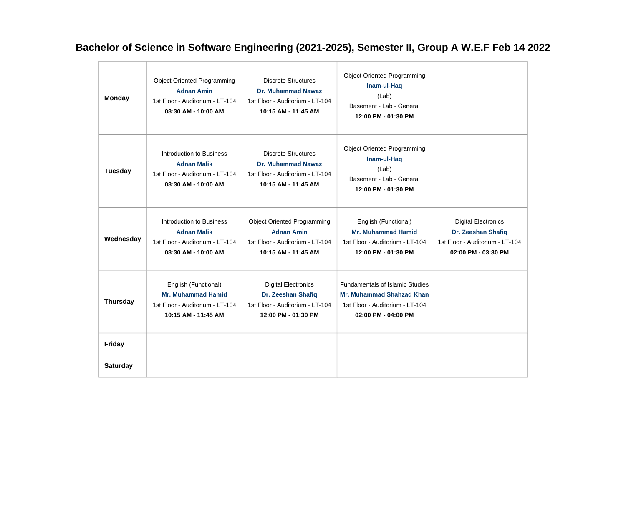## **Bachelor of Science in Software Engineering (2021-2025), Semester II, Group A W.E.F Feb 14 2022**

| <b>Monday</b>   | <b>Object Oriented Programming</b><br><b>Adnan Amin</b><br>1st Floor - Auditorium - LT-104<br>08:30 AM - 10:00 AM | <b>Discrete Structures</b><br><b>Dr. Muhammad Nawaz</b><br>1st Floor - Auditorium - LT-104<br>10:15 AM - 11:45 AM | <b>Object Oriented Programming</b><br>Inam-ul-Haq<br>(Lab)<br>Basement - Lab - General<br>12:00 PM - 01:30 PM                        |                                                                                                            |
|-----------------|-------------------------------------------------------------------------------------------------------------------|-------------------------------------------------------------------------------------------------------------------|--------------------------------------------------------------------------------------------------------------------------------------|------------------------------------------------------------------------------------------------------------|
| Tuesday         | Introduction to Business<br><b>Adnan Malik</b><br>1st Floor - Auditorium - LT-104<br>08:30 AM - 10:00 AM          | <b>Discrete Structures</b><br><b>Dr. Muhammad Nawaz</b><br>1st Floor - Auditorium - LT-104<br>10:15 AM - 11:45 AM | <b>Object Oriented Programming</b><br>Inam-ul-Haq<br>(Lab)<br>Basement - Lab - General<br>12:00 PM - 01:30 PM                        |                                                                                                            |
| Wednesday       | Introduction to Business<br><b>Adnan Malik</b><br>1st Floor - Auditorium - LT-104<br>08:30 AM - 10:00 AM          | <b>Object Oriented Programming</b><br><b>Adnan Amin</b><br>1st Floor - Auditorium - LT-104<br>10:15 AM - 11:45 AM | English (Functional)<br><b>Mr. Muhammad Hamid</b><br>1st Floor - Auditorium - LT-104<br>12:00 PM - 01:30 PM                          | <b>Digital Electronics</b><br>Dr. Zeeshan Shafiq<br>1st Floor - Auditorium - LT-104<br>02:00 PM - 03:30 PM |
| <b>Thursday</b> | English (Functional)<br><b>Mr. Muhammad Hamid</b><br>1st Floor - Auditorium - LT-104<br>10:15 AM - 11:45 AM       | <b>Digital Electronics</b><br>Dr. Zeeshan Shafiq<br>1st Floor - Auditorium - LT-104<br>12:00 PM - 01:30 PM        | <b>Fundamentals of Islamic Studies</b><br><b>Mr. Muhammad Shahzad Khan</b><br>1st Floor - Auditorium - LT-104<br>02:00 PM - 04:00 PM |                                                                                                            |
| <b>Friday</b>   |                                                                                                                   |                                                                                                                   |                                                                                                                                      |                                                                                                            |
| <b>Saturday</b> |                                                                                                                   |                                                                                                                   |                                                                                                                                      |                                                                                                            |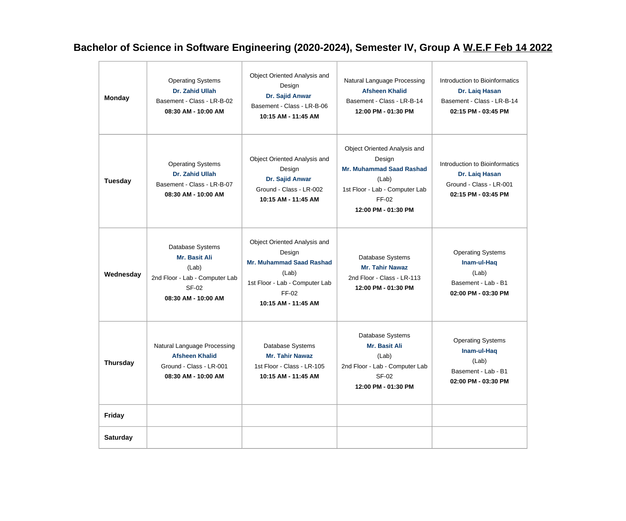## **Bachelor of Science in Software Engineering (2020-2024), Semester IV, Group A W.E.F Feb 14 2022**

| <b>Monday</b>   | <b>Operating Systems</b><br><b>Dr. Zahid Ullah</b><br>Basement - Class - LR-B-02<br>08:30 AM - 10:00 AM      | Object Oriented Analysis and<br>Design<br>Dr. Sajid Anwar<br>Basement - Class - LR-B-06<br>10:15 AM - 11:45 AM                                       | Natural Language Processing<br><b>Afsheen Khalid</b><br>Basement - Class - LR-B-14<br>12:00 PM - 01:30 PM                                            | Introduction to Bioinformatics<br>Dr. Laiq Hasan<br>Basement - Class - LR-B-14<br>02:15 PM - 03:45 PM |
|-----------------|--------------------------------------------------------------------------------------------------------------|------------------------------------------------------------------------------------------------------------------------------------------------------|------------------------------------------------------------------------------------------------------------------------------------------------------|-------------------------------------------------------------------------------------------------------|
| <b>Tuesday</b>  | <b>Operating Systems</b><br>Dr. Zahid Ullah<br>Basement - Class - LR-B-07<br>08:30 AM - 10:00 AM             | Object Oriented Analysis and<br>Design<br>Dr. Sajid Anwar<br>Ground - Class - LR-002<br>10:15 AM - 11:45 AM                                          | Object Oriented Analysis and<br>Design<br><b>Mr. Muhammad Saad Rashad</b><br>(Lab)<br>1st Floor - Lab - Computer Lab<br>FF-02<br>12:00 PM - 01:30 PM | Introduction to Bioinformatics<br>Dr. Laiq Hasan<br>Ground - Class - LR-001<br>02:15 PM - 03:45 PM    |
| Wednesday       | Database Systems<br>Mr. Basit Ali<br>(Lab)<br>2nd Floor - Lab - Computer Lab<br>SF-02<br>08:30 AM - 10:00 AM | Object Oriented Analysis and<br>Design<br><b>Mr. Muhammad Saad Rashad</b><br>(Lab)<br>1st Floor - Lab - Computer Lab<br>FF-02<br>10:15 AM - 11:45 AM | Database Systems<br><b>Mr. Tahir Nawaz</b><br>2nd Floor - Class - LR-113<br>12:00 PM - 01:30 PM                                                      | <b>Operating Systems</b><br>Inam-ul-Haq<br>(Lab)<br>Basement - Lab - B1<br>02:00 PM - 03:30 PM        |
| <b>Thursday</b> | Natural Language Processing<br><b>Afsheen Khalid</b><br>Ground - Class - LR-001<br>08:30 AM - 10:00 AM       | Database Systems<br><b>Mr. Tahir Nawaz</b><br>1st Floor - Class - LR-105<br>10:15 AM - 11:45 AM                                                      | Database Systems<br>Mr. Basit Ali<br>(Lab)<br>2nd Floor - Lab - Computer Lab<br><b>SF-02</b><br>12:00 PM - 01:30 PM                                  | <b>Operating Systems</b><br>Inam-ul-Haq<br>(Lab)<br>Basement - Lab - B1<br>02:00 PM - 03:30 PM        |
| <b>Friday</b>   |                                                                                                              |                                                                                                                                                      |                                                                                                                                                      |                                                                                                       |
| <b>Saturday</b> |                                                                                                              |                                                                                                                                                      |                                                                                                                                                      |                                                                                                       |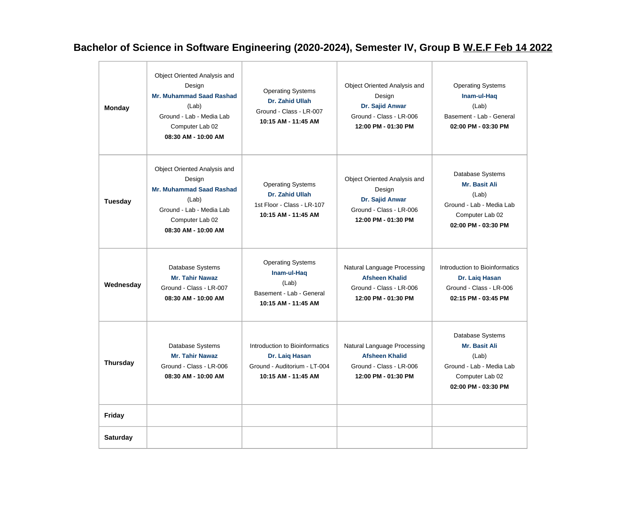## **Bachelor of Science in Software Engineering (2020-2024), Semester IV, Group B W.E.F Feb 14 2022**

| <b>Monday</b>   | Object Oriented Analysis and<br>Design<br><b>Mr. Muhammad Saad Rashad</b><br>(Lab)<br>Ground - Lab - Media Lab<br>Computer Lab 02<br>08:30 AM - 10:00 AM | <b>Operating Systems</b><br>Dr. Zahid Ullah<br>Ground - Class - LR-007<br>10:15 AM - 11:45 AM           | Object Oriented Analysis and<br>Design<br>Dr. Sajid Anwar<br>Ground - Class - LR-006<br>12:00 PM - 01:30 PM | <b>Operating Systems</b><br>Inam-ul-Haq<br>(Lab)<br>Basement - Lab - General<br>02:00 PM - 03:30 PM                     |
|-----------------|----------------------------------------------------------------------------------------------------------------------------------------------------------|---------------------------------------------------------------------------------------------------------|-------------------------------------------------------------------------------------------------------------|-------------------------------------------------------------------------------------------------------------------------|
| <b>Tuesday</b>  | Object Oriented Analysis and<br>Design<br><b>Mr. Muhammad Saad Rashad</b><br>(Lab)<br>Ground - Lab - Media Lab<br>Computer Lab 02<br>08:30 AM - 10:00 AM | <b>Operating Systems</b><br>Dr. Zahid Ullah<br>1st Floor - Class - LR-107<br>10:15 AM - 11:45 AM        | Object Oriented Analysis and<br>Design<br>Dr. Sajid Anwar<br>Ground - Class - LR-006<br>12:00 PM - 01:30 PM | Database Systems<br>Mr. Basit Ali<br>(Lab)<br>Ground - Lab - Media Lab<br>Computer Lab 02<br>02:00 PM - 03:30 PM        |
| Wednesday       | Database Systems<br><b>Mr. Tahir Nawaz</b><br>Ground - Class - LR-007<br>08:30 AM - 10:00 AM                                                             | <b>Operating Systems</b><br>Inam-ul-Haq<br>(Lab)<br>Basement - Lab - General<br>10:15 AM - 11:45 AM     | Natural Language Processing<br><b>Afsheen Khalid</b><br>Ground - Class - LR-006<br>12:00 PM - 01:30 PM      | Introduction to Bioinformatics<br>Dr. Laiq Hasan<br>Ground - Class - LR-006<br>02:15 PM - 03:45 PM                      |
| <b>Thursday</b> | Database Systems<br><b>Mr. Tahir Nawaz</b><br>Ground - Class - LR-006<br>08:30 AM - 10:00 AM                                                             | Introduction to Bioinformatics<br>Dr. Laiq Hasan<br>Ground - Auditorium - LT-004<br>10:15 AM - 11:45 AM | Natural Language Processing<br><b>Afsheen Khalid</b><br>Ground - Class - LR-006<br>12:00 PM - 01:30 PM      | Database Systems<br><b>Mr. Basit Ali</b><br>(Lab)<br>Ground - Lab - Media Lab<br>Computer Lab 02<br>02:00 PM - 03:30 PM |
| Friday          |                                                                                                                                                          |                                                                                                         |                                                                                                             |                                                                                                                         |
| <b>Saturday</b> |                                                                                                                                                          |                                                                                                         |                                                                                                             |                                                                                                                         |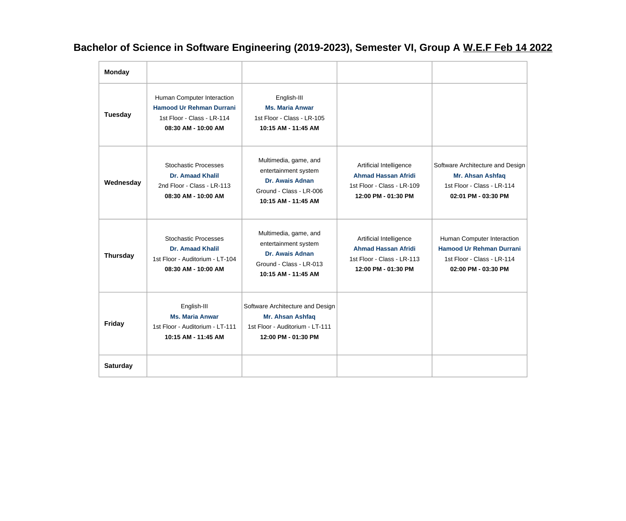## **Bachelor of Science in Software Engineering (2019-2023), Semester VI, Group A W.E.F Feb 14 2022**

| <b>Monday</b>   |                                                                                                                    |                                                                                                                           |                                                                                                            |                                                                                                                    |
|-----------------|--------------------------------------------------------------------------------------------------------------------|---------------------------------------------------------------------------------------------------------------------------|------------------------------------------------------------------------------------------------------------|--------------------------------------------------------------------------------------------------------------------|
| Tuesday         | Human Computer Interaction<br><b>Hamood Ur Rehman Durrani</b><br>1st Floor - Class - LR-114<br>08:30 AM - 10:00 AM | English-III<br><b>Ms. Maria Anwar</b><br>1st Floor - Class - LR-105<br>10:15 AM - 11:45 AM                                |                                                                                                            |                                                                                                                    |
| Wednesday       | <b>Stochastic Processes</b><br><b>Dr. Amaad Khalil</b><br>2nd Floor - Class - LR-113<br>08:30 AM - 10:00 AM        | Multimedia, game, and<br>entertainment system<br>Dr. Awais Adnan<br>Ground - Class - LR-006<br>10:15 AM - 11:45 AM        | Artificial Intelligence<br><b>Ahmad Hassan Afridi</b><br>1st Floor - Class - LR-109<br>12:00 PM - 01:30 PM | Software Architecture and Design<br>Mr. Ahsan Ashfaq<br>1st Floor - Class - LR-114<br>02:01 PM - 03:30 PM          |
| <b>Thursday</b> | <b>Stochastic Processes</b><br><b>Dr. Amaad Khalil</b><br>1st Floor - Auditorium - LT-104<br>08:30 AM - 10:00 AM   | Multimedia, game, and<br>entertainment system<br><b>Dr. Awais Adnan</b><br>Ground - Class - LR-013<br>10:15 AM - 11:45 AM | Artificial Intelligence<br><b>Ahmad Hassan Afridi</b><br>1st Floor - Class - LR-113<br>12:00 PM - 01:30 PM | Human Computer Interaction<br><b>Hamood Ur Rehman Durrani</b><br>1st Floor - Class - LR-114<br>02:00 PM - 03:30 PM |
| <b>Friday</b>   | English-III<br><b>Ms. Maria Anwar</b><br>1st Floor - Auditorium - LT-111<br>10:15 AM - 11:45 AM                    | Software Architecture and Design<br>Mr. Ahsan Ashfaq<br>1st Floor - Auditorium - LT-111<br>12:00 PM - 01:30 PM            |                                                                                                            |                                                                                                                    |
| <b>Saturday</b> |                                                                                                                    |                                                                                                                           |                                                                                                            |                                                                                                                    |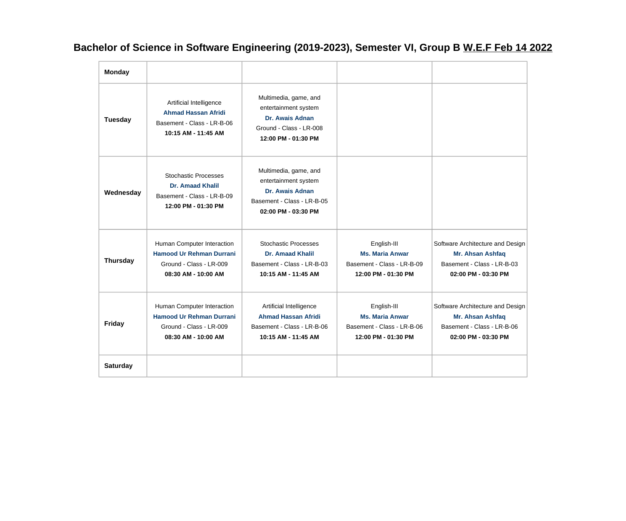**Bachelor of Science in Software Engineering (2019-2023), Semester VI, Group B W.E.F Feb 14 2022**

| <b>Monday</b>   |                                                                                                                 |                                                                                                                       |                                                                                            |                                                                                                           |
|-----------------|-----------------------------------------------------------------------------------------------------------------|-----------------------------------------------------------------------------------------------------------------------|--------------------------------------------------------------------------------------------|-----------------------------------------------------------------------------------------------------------|
| <b>Tuesday</b>  | Artificial Intelligence<br><b>Ahmad Hassan Afridi</b><br>Basement - Class - LR-B-06<br>10:15 AM - 11:45 AM      | Multimedia, game, and<br>entertainment system<br>Dr. Awais Adnan<br>Ground - Class - LR-008<br>12:00 PM - 01:30 PM    |                                                                                            |                                                                                                           |
| Wednesday       | <b>Stochastic Processes</b><br><b>Dr. Amaad Khalil</b><br>Basement - Class - LR-B-09<br>12:00 PM - 01:30 PM     | Multimedia, game, and<br>entertainment system<br>Dr. Awais Adnan<br>Basement - Class - LR-B-05<br>02:00 PM - 03:30 PM |                                                                                            |                                                                                                           |
| <b>Thursday</b> | Human Computer Interaction<br><b>Hamood Ur Rehman Durrani</b><br>Ground - Class - LR-009<br>08:30 AM - 10:00 AM | <b>Stochastic Processes</b><br><b>Dr. Amaad Khalil</b><br>Basement - Class - LR-B-03<br>10:15 AM - 11:45 AM           | English-III<br><b>Ms. Maria Anwar</b><br>Basement - Class - LR-B-09<br>12:00 PM - 01:30 PM | Software Architecture and Design<br>Mr. Ahsan Ashfaq<br>Basement - Class - LR-B-03<br>02:00 PM - 03:30 PM |
| <b>Friday</b>   | Human Computer Interaction<br><b>Hamood Ur Rehman Durrani</b><br>Ground - Class - LR-009<br>08:30 AM - 10:00 AM | Artificial Intelligence<br><b>Ahmad Hassan Afridi</b><br>Basement - Class - LR-B-06<br>10:15 AM - 11:45 AM            | English-III<br><b>Ms. Maria Anwar</b><br>Basement - Class - LR-B-06<br>12:00 PM - 01:30 PM | Software Architecture and Design<br>Mr. Ahsan Ashfaq<br>Basement - Class - LR-B-06<br>02:00 PM - 03:30 PM |
| <b>Saturday</b> |                                                                                                                 |                                                                                                                       |                                                                                            |                                                                                                           |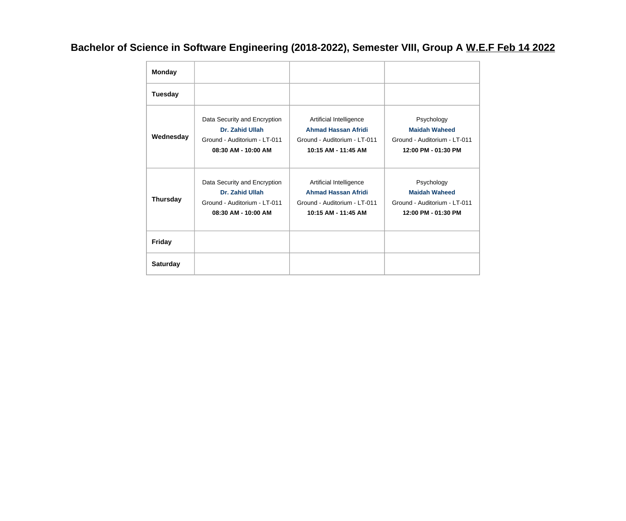## **Bachelor of Science in Software Engineering (2018-2022), Semester VIII, Group A W.E.F Feb 14 2022**

| <b>Monday</b>   |                                                                                                        |                                                                                                              |                                                                                           |
|-----------------|--------------------------------------------------------------------------------------------------------|--------------------------------------------------------------------------------------------------------------|-------------------------------------------------------------------------------------------|
| <b>Tuesday</b>  |                                                                                                        |                                                                                                              |                                                                                           |
| Wednesday       | Data Security and Encryption<br>Dr. Zahid Ullah<br>Ground - Auditorium - LT-011<br>08:30 AM - 10:00 AM | Artificial Intelligence<br><b>Ahmad Hassan Afridi</b><br>Ground - Auditorium - LT-011<br>10:15 AM - 11:45 AM | Psychology<br><b>Maidah Waheed</b><br>Ground - Auditorium - LT-011<br>12:00 PM - 01:30 PM |
| <b>Thursday</b> | Data Security and Encryption<br>Dr. Zahid Ullah<br>Ground - Auditorium - LT-011<br>08:30 AM - 10:00 AM | Artificial Intelligence<br><b>Ahmad Hassan Afridi</b><br>Ground - Auditorium - LT-011<br>10:15 AM - 11:45 AM | Psychology<br><b>Maidah Waheed</b><br>Ground - Auditorium - LT-011<br>12:00 PM - 01:30 PM |
| <b>Friday</b>   |                                                                                                        |                                                                                                              |                                                                                           |
| <b>Saturday</b> |                                                                                                        |                                                                                                              |                                                                                           |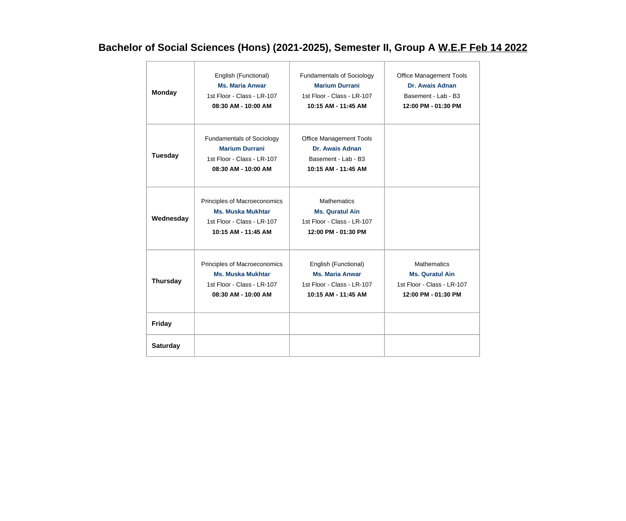## **Bachelor of Social Sciences (Hons) (2021-2025), Semester II, Group A W.E.F Feb 14 2022**

| <b>Monday</b>   | English (Functional)<br><b>Ms. Maria Anwar</b><br>1st Floor - Class - LR-107<br>08:30 AM - 10:00 AM            | Fundamentals of Sociology<br><b>Marium Durrani</b><br>1st Floor - Class - LR-107<br>10:15 AM - 11:45 AM | <b>Office Management Tools</b><br>Dr. Awais Adnan<br>Basement - Lab - B3<br>12:00 PM - 01:30 PM   |
|-----------------|----------------------------------------------------------------------------------------------------------------|---------------------------------------------------------------------------------------------------------|---------------------------------------------------------------------------------------------------|
| Tuesday         | <b>Fundamentals of Sociology</b><br><b>Marium Durrani</b><br>1st Floor - Class - LR-107<br>08:30 AM - 10:00 AM | <b>Office Management Tools</b><br>Dr. Awais Adnan<br>Basement - Lab - B3<br>10:15 AM - 11:45 AM         |                                                                                                   |
| Wednesday       | Principles of Macroeconomics<br><b>Ms. Muska Mukhtar</b><br>1st Floor - Class - LR-107<br>10:15 AM - 11:45 AM  | <b>Mathematics</b><br><b>Ms. Quratul Ain</b><br>1st Floor - Class - LR-107<br>12:00 PM - 01:30 PM       |                                                                                                   |
| <b>Thursday</b> | Principles of Macroeconomics<br><b>Ms. Muska Mukhtar</b><br>1st Floor - Class - LR-107<br>08:30 AM - 10:00 AM  | English (Functional)<br><b>Ms. Maria Anwar</b><br>1st Floor - Class - LR-107<br>10:15 AM - 11:45 AM     | <b>Mathematics</b><br><b>Ms. Quratul Ain</b><br>1st Floor - Class - LR-107<br>12:00 PM - 01:30 PM |
| Friday          |                                                                                                                |                                                                                                         |                                                                                                   |
| <b>Saturday</b> |                                                                                                                |                                                                                                         |                                                                                                   |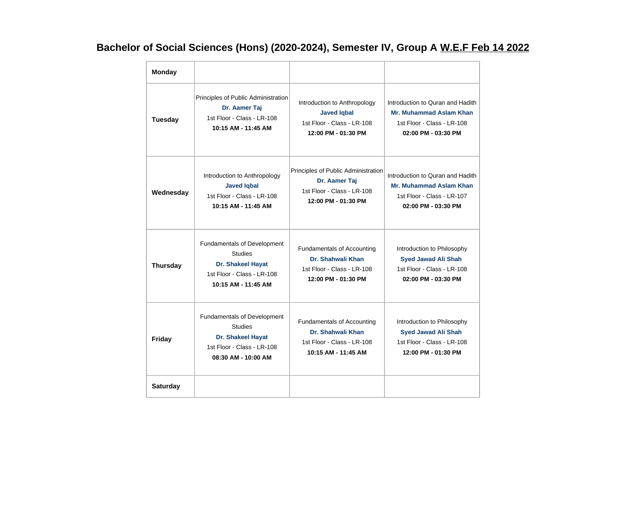# **Bachelor of Social Sciences (Hons) (2020-2024), Semester IV, Group A W.E.F Feb 14 2022**

| <b>Monday</b>   |                                                                                                                         |                                                                                                             |                                                                                                                         |
|-----------------|-------------------------------------------------------------------------------------------------------------------------|-------------------------------------------------------------------------------------------------------------|-------------------------------------------------------------------------------------------------------------------------|
| <b>Tuesday</b>  | Principles of Public Administration<br>Dr. Aamer Taj<br>1st Floor - Class - LR-108<br>10:15 AM - 11:45 AM               | Introduction to Anthropology<br><b>Javed Iqbal</b><br>1st Floor - Class - LR-108<br>12:00 PM - 01:30 PM     | Introduction to Quran and Hadith<br><b>Mr. Muhammad Aslam Khan</b><br>1st Floor - Class - LR-108<br>02:00 PM - 03:30 PM |
| Wednesday       | Introduction to Anthropology<br><b>Javed Iqbal</b><br>1st Floor - Class - LR-108<br>10:15 AM - 11:45 AM                 | Principles of Public Administration<br>Dr. Aamer Taj<br>1st Floor - Class - LR-108<br>12:00 PM - 01:30 PM   | Introduction to Quran and Hadith<br>Mr. Muhammad Aslam Khan<br>1st Floor - Class - LR-107<br>02:00 PM - 03:30 PM        |
| <b>Thursday</b> | Fundamentals of Development<br><b>Studies</b><br>Dr. Shakeel Hayat<br>1st Floor - Class - LR-108<br>10:15 AM - 11:45 AM | <b>Fundamentals of Accounting</b><br>Dr. Shahwali Khan<br>1st Floor - Class - LR-108<br>12:00 PM - 01:30 PM | Introduction to Philosophy<br><b>Syed Jawad Ali Shah</b><br>1st Floor - Class - LR-108<br>02:00 PM - 03:30 PM           |
| <b>Friday</b>   | Fundamentals of Development<br><b>Studies</b><br>Dr. Shakeel Hayat<br>1st Floor - Class - LR-108<br>08:30 AM - 10:00 AM | <b>Fundamentals of Accounting</b><br>Dr. Shahwali Khan<br>1st Floor - Class - LR-108<br>10:15 AM - 11:45 AM | Introduction to Philosophy<br><b>Syed Jawad Ali Shah</b><br>1st Floor - Class - LR-108<br>12:00 PM - 01:30 PM           |
| <b>Saturday</b> |                                                                                                                         |                                                                                                             |                                                                                                                         |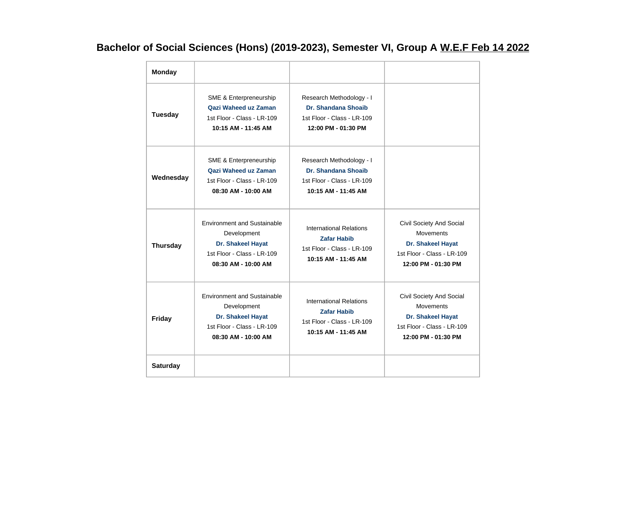# **Bachelor of Social Sciences (Hons) (2019-2023), Semester VI, Group A W.E.F Feb 14 2022**

| <b>Monday</b>   |                                                                                                                             |                                                                                                           |                                                                                                                        |
|-----------------|-----------------------------------------------------------------------------------------------------------------------------|-----------------------------------------------------------------------------------------------------------|------------------------------------------------------------------------------------------------------------------------|
| <b>Tuesday</b>  | SME & Enterpreneurship<br><b>Qazi Waheed uz Zaman</b><br>1st Floor - Class - LR-109<br>10:15 AM - 11:45 AM                  | Research Methodology - I<br>Dr. Shandana Shoaib<br>1st Floor - Class - LR-109<br>12:00 PM - 01:30 PM      |                                                                                                                        |
| Wednesday       | SME & Enterpreneurship<br>Qazi Waheed uz Zaman<br>1st Floor - Class - LR-109<br>08:30 AM - 10:00 AM                         | Research Methodology - I<br>Dr. Shandana Shoaib<br>1st Floor - Class - LR-109<br>10:15 AM - 11:45 AM      |                                                                                                                        |
| <b>Thursday</b> | <b>Environment and Sustainable</b><br>Development<br>Dr. Shakeel Hayat<br>1st Floor - Class - LR-109<br>08:30 AM - 10:00 AM | International Relations<br><b>Zafar Habib</b><br>1st Floor - Class - LR-109<br>10:15 AM - 11:45 AM        | Civil Society And Social<br><b>Movements</b><br>Dr. Shakeel Hayat<br>1st Floor - Class - LR-109<br>12:00 PM - 01:30 PM |
| <b>Friday</b>   | <b>Environment and Sustainable</b><br>Development<br>Dr. Shakeel Hayat<br>1st Floor - Class - LR-109<br>08:30 AM - 10:00 AM | <b>International Relations</b><br><b>Zafar Habib</b><br>1st Floor - Class - LR-109<br>10:15 AM - 11:45 AM | Civil Society And Social<br><b>Movements</b><br>Dr. Shakeel Hayat<br>1st Floor - Class - LR-109<br>12:00 PM - 01:30 PM |
| <b>Saturday</b> |                                                                                                                             |                                                                                                           |                                                                                                                        |